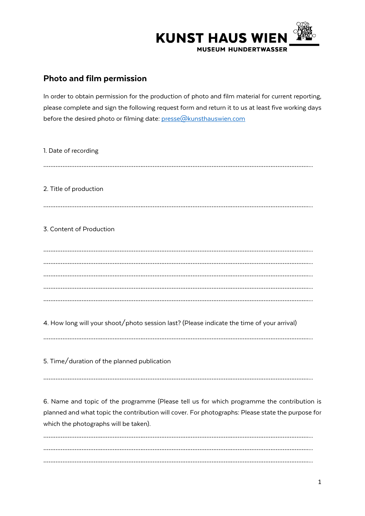

## Photo and film permission

In order to obtain permission for the production of photo and film material for current reporting, please complete and sign the following request form and return it to us at least five working days before the desired photo or filming date: presse@kunsthauswien.com

………………………………………………………………………………………………………………………………………... ………………………………………………………………………………………………………………………………………...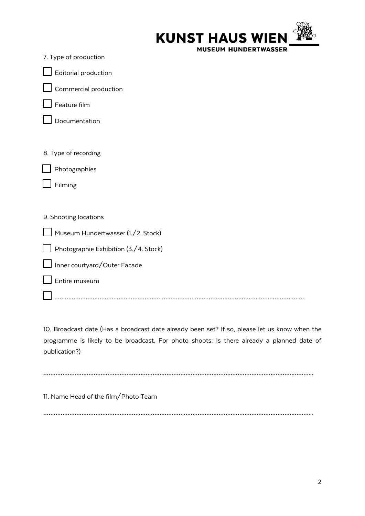| <b>KUNST HAUS WIEN XXX</b>  |  |
|-----------------------------|--|
| <b>MUSEUM HUNDERTWASSER</b> |  |

| Editorial production                  |
|---------------------------------------|
| Commercial production                 |
| Feature film                          |
| Documentation                         |
|                                       |
| 8. Type of recording                  |
| Photographies                         |
| Filming                               |
|                                       |
| 9. Shooting locations                 |
| Museum Hundertwasser (1./2. Stock)    |
| Photographie Exhibition (3./4. Stock) |
| Inner courtyard/Outer Facade          |
| Entire museum                         |
|                                       |

10. Broadcast date (Has a broadcast date already been set? If so, please let us know when the programme is likely to be broadcast. For photo shoots: Is there already a planned date of publication?)

………………………………………………………………………………………………………………………………………...

11. Name Head of the film/Photo Team

7. Type of production

………………………………………………………………………………………………………………………………………...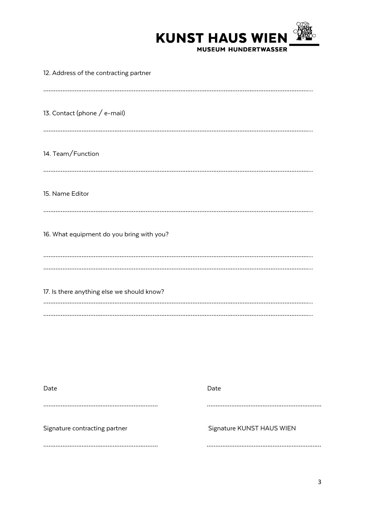

| 12. Address of the contracting partner     |
|--------------------------------------------|
|                                            |
| 13. Contact (phone / e-mail)               |
|                                            |
| 14. Team/Function                          |
|                                            |
| 15. Name Editor                            |
|                                            |
| 16. What equipment do you bring with you?  |
|                                            |
|                                            |
| 17. Is there anything else we should know? |
|                                            |
|                                            |

| Date                          | Date                      |
|-------------------------------|---------------------------|
|                               |                           |
| Signature contracting partner | Signature KUNST HAUS WIEN |
|                               |                           |